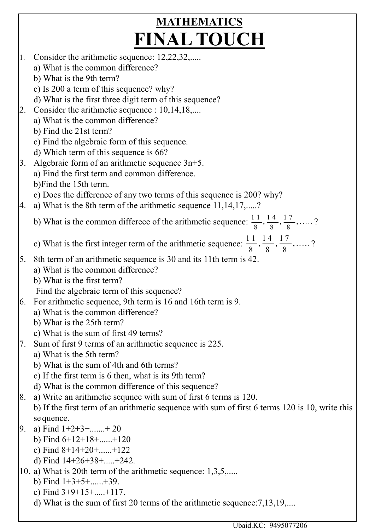## **MATHEMATICS** FINAL TOUCH

1. Consider the arithmetic sequence: 12,22,32,..... a) What is the common difference? b) What is the 9th term? c) Is 200 a term of this sequence? why? d) What is the first three digit term of this sequence? 2. Consider the arithmetic sequence : 10,14,18,.... a) What is the common difference? b) Find the 21st term? c) Find the algebraic form of this sequence. d) Which term of this sequence is 66? 3. Algebraic form of an arithmetic sequence 3n+5. a) Find the first term and common difference. b)Find the 15th term. c) Does the difference of any two terms of this sequence is 200? why? 4. a) What is the 8th term of the arithmetic sequence  $11,14,17,...$ b) What is the common differece of the arithmetic sequence:  $\frac{11}{8}$ ,  $\frac{14}{8}$ ,  $\frac{17}{8}$ , .....? c) What is the first integer term of the arithmetic sequence:  $\frac{11}{8}$ ,  $\frac{14}{8}$ ,  $\frac{17}{8}$ , .....? 5. 8th term of an arithmetic sequence is 30 and its 11th term is 42. a) What is the common difference? b) What is the first term? Find the algebraic term of this sequence? 6. For arithmetic sequence, 9th term is 16 and 16th term is 9. a) What is the common difference? b) What is the 25th term? c) What is the sum of first 49 terms? 7. Sum of first 9 terms of an arithmetic sequence is 225. a) What is the 5th term? b) What is the sum of 4th and 6th terms? c) If the first term is 6 then, what is its 9th term? d) What is the common difference of this sequence? 8. a) Write an arithmetic sequnce with sum of first 6 terms is 120. b) If the first term of an arithmetic sequence with sum of first 6 terms 120 is 10, write this se quence. 9. a) Find  $1+2+3+...+20$ b) Find 6+12+18+......+120 c) Find 8+14+20+......+122 d) Find 14+26+38+.....+242. 10. a) What is 20th term of the arithmetic sequence: 1,3,5,..... b) Find  $1+3+5+...+39$ . c) Find  $3+9+15+....+117$ .

d) What is the sum of first 20 terms of the arithmetic sequence:7,13,19,....

Ubaid.KC: 9495077206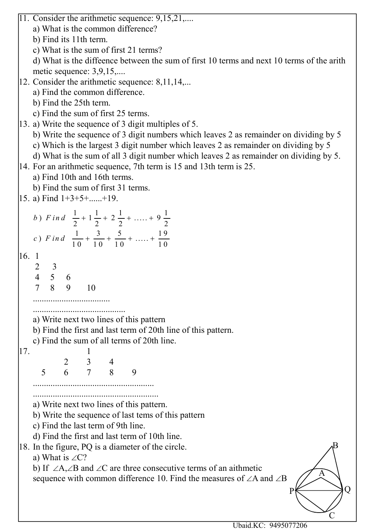11. Consider the arithmetic sequence: 9,15,21,....

a) What is the common difference?

b) Find its 11th term.

c) What is the sum of first 21 terms?

d) What is the diffeence between the sum of first 10 terms and next 10 terms of the arith metic sequence: 3,9,15,....

12. Consider the arithmetic sequence: 8,11,14,...

a) Find the common difference.

- b) Find the 25th term.
- c) Find the sum of first 25 terms.
- 13. a) Write the sequence of 3 digit multiples of 5.
	- b) Write the sequence of 3 digit numbers which leaves 2 as remainder on dividing by 5
	- c) Which is the largest 3 digit number which leaves 2 as remainder on dividing by 5
	- d) What is the sum of all 3 digit number which leaves 2 as remainder on dividing by 5.

14. For an arithmetic sequence, 7th term is 15 and 13th term is 25.

a) Find 10th and 16th terms.

b) Find the sum of first 31 terms.

 $15. a)$  Find  $1+3+5+$ ......+19.

| b) Find $\frac{1}{2} + 1\frac{1}{2} + 2\frac{1}{2} + \dots + 9\frac{1}{2}$   |  |
|------------------------------------------------------------------------------|--|
| c) Find $\frac{1}{10} + \frac{3}{10} + \frac{5}{10} + \dots + \frac{19}{10}$ |  |
|                                                                              |  |

16. 1

 2 3 4 5 6

7 8 9 10

...................................

..........................................

- a) Write next two lines of this pattern
- b) Find the first and last term of 20th line of this pattern.
- c) Find the sum of all terms of 20th line.

17. 1 2 3 4 5 6 7 8 9

> ....................................................... .........................................................

a) Write next two lines of this pattern.

b) Write the sequence of last tems of this pattern

c) Find the last term of 9th line.

d) Find the first and last term of 10th line.

18. In the figure, PQ is a diameter of the circle.

a) What is  $\angle$ C?

b) If  $\angle A, \angle B$  and  $\angle C$  are three consecutive terms of an aithmetic sequence with common difference 10. Find the measures of  $\angle A$  and  $\angle B$ 

Ubaid.KC: 9495077206

 $P \n\leftarrow \longrightarrow Q$ 

 $\mathcal{C}$ 

A

B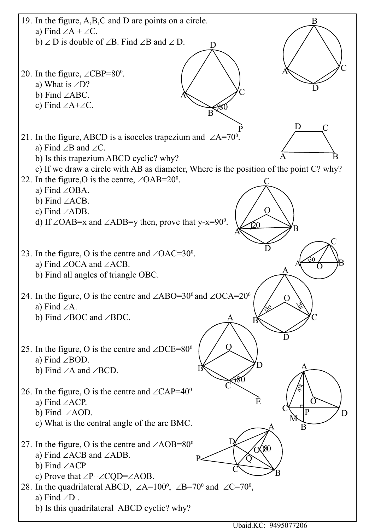

Ubaid.KC: 9495077206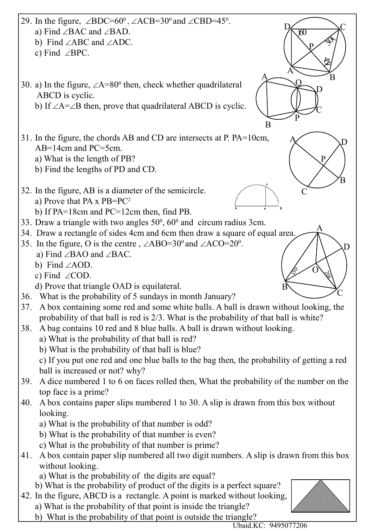|     | 29. In the figure, $\angle BDC=60^\circ$ , $\angle ACB=30^\circ$ and $\angle CBD=45^\circ$ .                                 |
|-----|------------------------------------------------------------------------------------------------------------------------------|
|     | a) Find $\angle$ BAC and $\angle$ BAD.<br>$\chi$                                                                             |
|     | b) Find $\angle ABC$ and $\angle ADC$ .                                                                                      |
|     | c) Find $\angle$ BPC.                                                                                                        |
|     |                                                                                                                              |
|     |                                                                                                                              |
|     | 30. a) In the figure, $\angle A = 80^\circ$ then, check whether quadrilateral                                                |
|     | ABCD is cyclic.                                                                                                              |
|     | b) If $\angle A = \angle B$ then, prove that quadrilateral ABCD is cyclic.                                                   |
|     | B                                                                                                                            |
|     | 31. In the figure, the chords AB and CD are intersects at P. PA=10cm,                                                        |
|     | AB=14cm and PC=5cm.                                                                                                          |
|     | a) What is the length of PB?                                                                                                 |
|     | b) Find the lengths of PD and CD.                                                                                            |
|     |                                                                                                                              |
|     | 32. In the figure, AB is a diameter of the semicircle.                                                                       |
|     | a) Prove that PA x PB=PC <sup>2</sup>                                                                                        |
|     | P<br>b) If $PA=18cm$ and $PC=12cm$ then, find PB.                                                                            |
|     | 33. Draw a triangle with two angles $50^{\circ}$ , $60^{\circ}$ and circum radius 3cm.                                       |
|     | 34. Draw a rectangle of sides 4cm and 6cm then draw a square of equal area.                                                  |
|     | 35. In the figure, O is the centre, $\angle$ ABO=30 <sup>0</sup> and $\angle$ ACO=20 <sup>0</sup> .<br>D                     |
|     | a) Find $\angle$ BAO and $\angle$ BAC.                                                                                       |
|     | b) Find $\angle AOD$ .                                                                                                       |
|     | c) Find $\angle$ COD.                                                                                                        |
|     | d) Prove that triangle OAD is equilateral.                                                                                   |
| 36. | What is the probability of 5 sundays in month January?                                                                       |
| 37. | A box containing some red and some white balls. A ball is drawn without looking, the                                         |
|     | probability of that ball is red is 2/3. What is the probability of that ball is white?                                       |
| 38. | A bag contains 10 red and 8 blue balls. A ball is drawn without looking.                                                     |
|     | a) What is the probability of that ball is red?                                                                              |
|     | b) What is the probability of that ball is blue?                                                                             |
|     | c) If you put one red and one blue balls to the bag then, the probability of getting a red<br>ball is increased or not? why? |
| 39. | A dice numbered 1 to 6 on faces rolled then, What the probability of the number on the                                       |
|     | top face is a prime?                                                                                                         |
| 40. | A box contains paper slips numbered 1 to 30. A slip is drawn from this box without                                           |
|     | looking.                                                                                                                     |
|     | a) What is the probability of that number is odd?                                                                            |
|     | b) What is the probability of that number is even?                                                                           |
|     | c) What is the probability of that number is prime?                                                                          |
| 41. | A box contain paper slip numbered all two digit numbers. A slip is drawn from this box                                       |
|     | without looking.                                                                                                             |
|     | a) What is the probability of the digits are equal?                                                                          |
|     | b) What is the probability of product of the digits is a perfect square?                                                     |
|     | 42. In the figure, ABCD is a rectangle. A point is marked without looking,                                                   |
|     | a) What is the probability of that point is inside the triangle?                                                             |

b) What is the probability of that point is outside the triangle?

 $\overline{\phantom{a}}$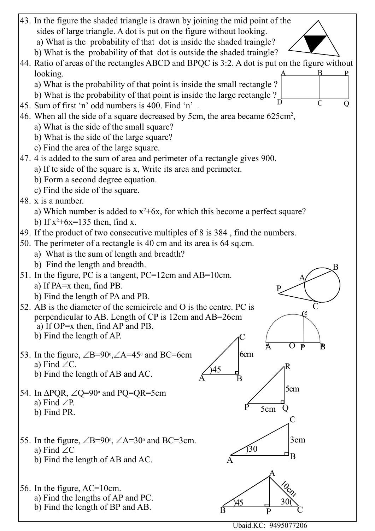

Ubaid.KC: 9495077206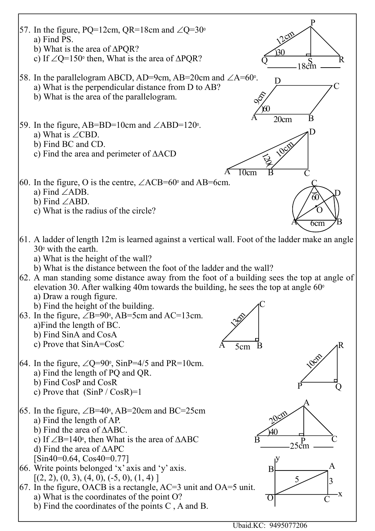

Ubaid.KC: 9495077206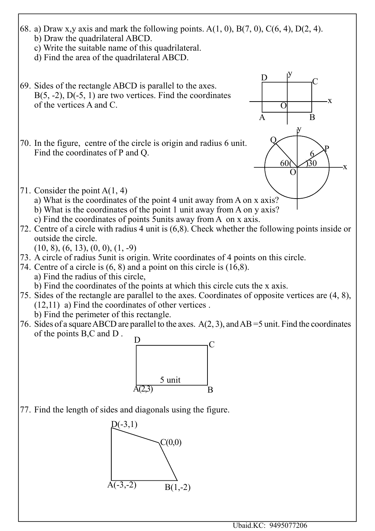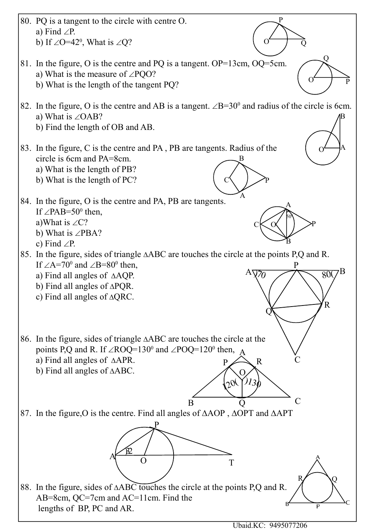![](_page_7_Figure_0.jpeg)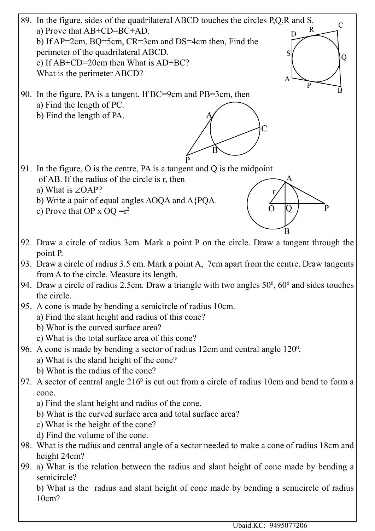![](_page_8_Figure_0.jpeg)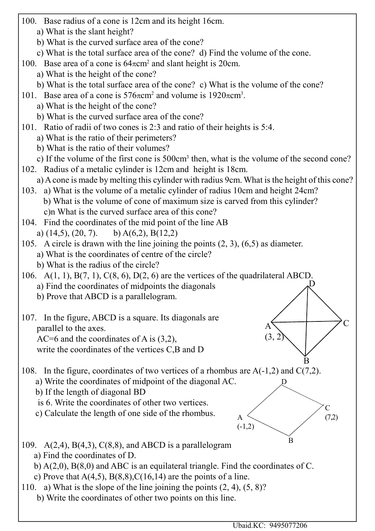- 100. Base radius of a cone is 12cm and its height 16cm.
	- a) What is the slant height?
	- b) What is the curved surface area of the cone?
	- c) What is the total surface area of the cone? d) Find the volume of the cone.
- 100. Base area of a cone is  $64\pi$ cm<sup>2</sup> and slant height is 20cm.
	- a) What is the height of the cone?
	- b) What is the total surface area of the cone? c) What is the volume of the cone?
- 101. Base area of a cone is  $576\pi$ cm<sup>2</sup> and volume is  $1920\pi$ cm<sup>3</sup>.
	- a) What is the height of the cone?
	- b) What is the curved surface area of the cone?
- 101. Ratio of radii of two cones is 2:3 and ratio of their heights is 5:4.
	- a) What is the ratio of their perimeters?
	- b) What is the ratio of their volumes?
	- c) If the volume of the first cone is 500cm<sup>3</sup> then, what is the volume of the second cone?
- 102. Radius of a metalic cylinder is 12cm and height is 18cm.
	- a) A cone is made by melting this cylinder with radius 9cm. What is the height of this cone?
- 103. a) What is the volume of a metalic cylinder of radius 10cm and height 24cm? b) What is the volume of cone of maximum size is carved from this cylinder? c)n What is the curved surface area of this cone?
- 104. Find the coordinates of the mid point of the line AB a)  $(14,5)$ ,  $(20, 7)$ . b)  $A(6,2)$ ,  $B(12,2)$
- 105. A circle is drawn with the line joining the points (2, 3), (6,5) as diameter.
	- a) What is the coordinates of centre of the circle?
	- b) What is the radius of the circle?
- 106. A(1, 1), B(7, 1), C(8, 6), D(2, 6) are the vertices of the quadrilateral ABCD. a) Find the coordinates of midpoints the diagonals D
	- b) Prove that ABCD is a parallelogram.
- 107. In the figure, ABCD is a square. Its diagonals are parallel to the axes. AC=6 and the coordinates of A is (3,2),
	- write the coordinates of the vertices C,B and D
- 108. In the figure, coordinates of two vertices of a rhombus are A(-1,2) and C(7,2). B
	- a) Write the coordinates of midpoint of the diagonal AC.
	- b) If the length of diagonal BD
	- is 6. Write the coordinates of other two vertices.
	- c) Calculate the length of one side of the rhombus.

![](_page_9_Figure_30.jpeg)

D

C

A  $(3, 2)$ 

- 109. A(2,4), B(4,3), C(8,8), and ABCD is a parallelogram
	- a) Find the coordinates of D.
	- b) A(2,0), B(8,0) and ABC is an equilateral triangle. Find the coordinates of C.
	- c) Prove that  $A(4,5)$ ,  $B(8,8)$ ,  $C(16,14)$  are the points of a line.
- 110. a) What is the slope of the line joining the points (2, 4), (5, 8)?
	- b) Write the coordinates of other two points on this line.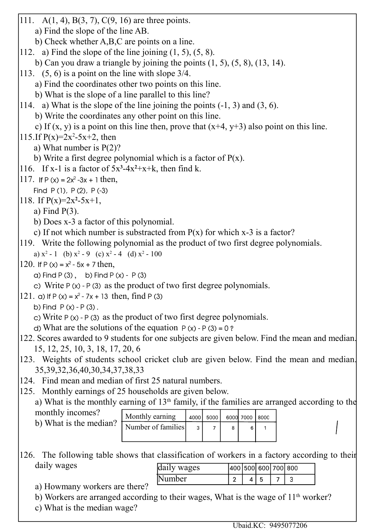111. A(1, 4), B(3, 7), C(9, 16) are three points. a) Find the slope of the line AB. b) Check whether A,B,C are points on a line. 112. a) Find the slope of the line joining  $(1, 5)$ ,  $(5, 8)$ . b) Can you draw a triangle by joining the points  $(1, 5)$ ,  $(5, 8)$ ,  $(13, 14)$ . 113. (5, 6) is a point on the line with slope 3/4. a) Find the coordinates other two points on this line. b) What is the slope of a line parallel to this line? 114. a) What is the slope of the line joining the points (-1, 3) and (3, 6). b) Write the coordinates any other point on this line. c) If  $(x, y)$  is a point on this line then, prove that  $(x+4, y+3)$  also point on this line. 115.If  $P(x)=2x^2-5x+2$ , then a) What number is P(2)? b) Write a first degree polynomial which is a factor of  $P(x)$ . 116. If x-1 is a factor of  $5x^3-4x^2+x+k$ , then find k. 117. If  $P(x) = 2x^2 - 3x + 1$  then, Find  $P(1)$ ,  $P(2)$ ,  $P(-3)$ 118. If  $P(x)=2x^2-5x+1$ , a) Find P(3). b) Does x-3 a factor of this polynomial. c) If not which number is substracted from  $P(x)$  for which x-3 is a factor? 119. Write the following polynomial as the product of two first degree polynomials. a)  $x^2 - 1$  (b)  $x^2 - 9$  (c)  $x^2 - 4$  (d)  $x^2 - 100$ 120. If  $P(x) = x^2 - 5x + 7$  then,  $a)$  Find P  $(3)$ , b) Find P  $(x)$  - P  $(3)$ c) Write  $P(x) - P(3)$  as the product of two first degree polynomials. 121. a) If P (x) =  $x^2$  - 7x + 13 then, find P (3) b) Find  $P(x) - P(3)$ . c) Write  $P(x) - P(3)$  as the product of two first degree polynomials. d) What are the solutions of the equation  $P(x) - P(3) = 0$ ? 122. Scores awarded to 9 students for one subjects are given below. Find the mean and median. 15, 12, 25, 10, 3, 18, 17, 20, 6 123. Weights of students school cricket club are given below. Find the mean and median. 35,39,32,36,40,30,34,37,38,33 124. Find mean and median of first 25 natural numbers. 125. Monthly earnings of 25 households are given below. a) What is the monthly earning of  $13<sup>th</sup>$  family, if the families are arranged according to the monthly incomes? Monthly earning 4000 5000 6000 7000 8000 b) What is the median? Number of families  $\overline{3}$  $\overline{7}$ 8  $\bf 6$  $\mathbf{1}$ 126. The following table shows that classification of workers in a factory according to their daily wages daily wages 400 500 600 700 800 Number $\overline{2}$  $\overline{4}$  $\overline{5}$  $\overline{7}$ 3 a) Howmany workers are there? b) Workers are arranged according to their wages, What is the wage of 11<sup>th</sup> worker?

c) What is the median wage?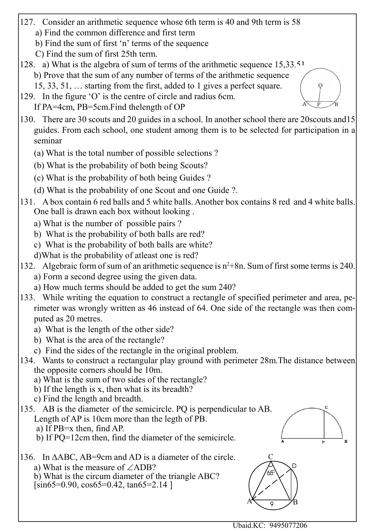- 127. Consider an arithmetic sequence whose 6th term is 40 and 9th term is 58
	- a) Find the common difference and first term
	- b) Find the sum of first 'n' terms of the sequence
	- C) Find the sum of first 25th term.
- 128. a) What is the algebra of sum of terms of the arithmetic sequence  $15,33,51$ . b) Prove that the sum of any number of terms of the arithmetic sequence
	- 15, 33, 51, … starting from the first, added to 1 gives a perfect square.
- 129. In the figure 'O' is the centre of circle and radius 6cm. If PA=4cm, PB=5cm.Find thelength of OP
- 130. There are 30 scouts and 20 guides in a school. In another school there are 20scouts and15 guides. From each school, one student among them is to be selected for participation in a seminar
	- (a) What is the total number of possible selections ?
	- (b) What is the probability of both being Scouts?
	- (c) What is the probability of both being Guides ?
	- (d) What is the probability of one Scout and one Guide ?.
- 131. A box contain 6 red balls and 5 white balls. Another box contains 8 red and 4 white balls. One ball is drawn each box without looking .
	- a) What is the number of possible pairs ?
	- b) What is the probability of both balls are red?
	- c) What is the probability of both balls are white?
	- d)What is the probability of atleast one is red?
- 132. Algebraic form of sum of an arithmetic sequence is  $n^2+8n$ . Sum of first some terms is 240.
	- a) Form a second degree using the given data.
	- a) How much terms should be added to get the sum 240?
- 133. While writing the equation to construct a rectangle of specified perimeter and area, perimeter was wrongly written as 46 instead of 64. One side of the rectangle was then computed as 20 metres.
	- a) What is the length of the other side?
	- b) What is the area of the rectangle?
	- c) Find the sides of the rectangle in the original problem.
- 134. Wants to construct a rectangular play ground with perimeter 28m.The distance between the opposite corners should be 10m.
	- a) What is the sum of two sides of the rectangle?
	- b) If the length is x, then what is its breadth?
	- c) Find the length and breadth.
- 135. AB is the diameter of the semicircle. PQ is perpendicular to AB. Length of AP is 10cm more than the legth of PB. a) If PB=x then, find AP.
	- b) If PQ=12cm then, find the diameter of the semicircle.
- 136. In  $\triangle ABC$ , AB=9cm and AD is a diameter of the circle. a) What is the measure of  $\angle ADB$ ?
	- b) What is the circum diameter of the triangle ABC?  $[sin65=0.90, cos65=0.42, tan65=2.14]$

![](_page_11_Figure_32.jpeg)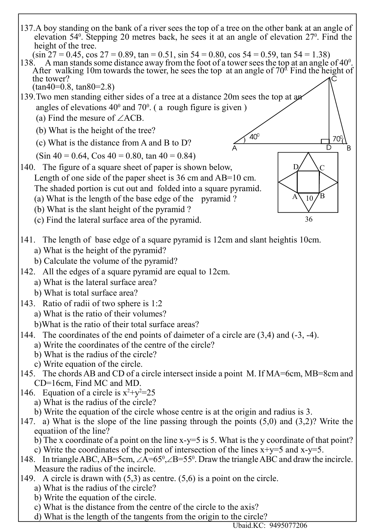![](_page_12_Figure_0.jpeg)

d) What is the length of the tangents from the origin to the circle?